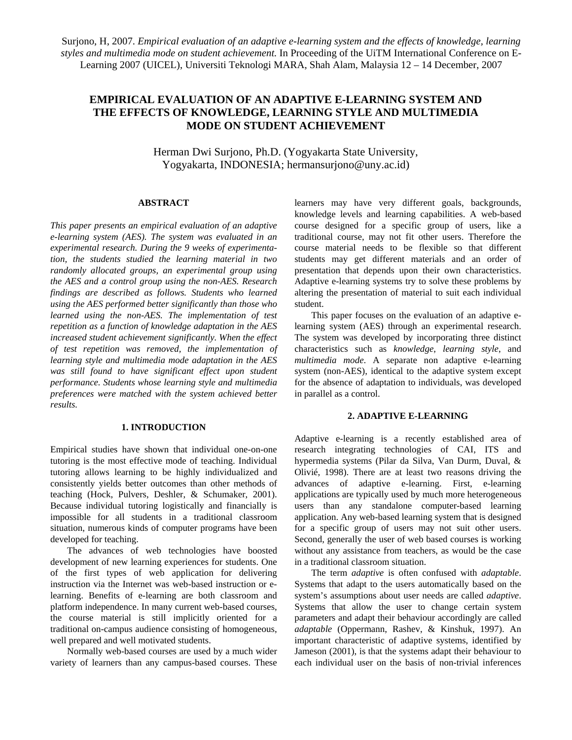Surjono, H, 2007. *Empirical evaluation of an adaptive e-learning system and the effects of knowledge, learning styles and multimedia mode on student achievement.* In Proceeding of the UiTM International Conference on E-Learning 2007 (UICEL), Universiti Teknologi MARA, Shah Alam, Malaysia 12 – 14 December, 2007

# **EMPIRICAL EVALUATION OF AN ADAPTIVE E-LEARNING SYSTEM AND THE EFFECTS OF KNOWLEDGE, LEARNING STYLE AND MULTIMEDIA MODE ON STUDENT ACHIEVEMENT**

Herman Dwi Surjono, Ph.D. (Yogyakarta State University, Yogyakarta, INDONESIA; hermansurjono@uny.ac.id)

## **ABSTRACT**

*This paper presents an empirical evaluation of an adaptive e-learning system (AES). The system was evaluated in an experimental research. During the 9 weeks of experimentation, the students studied the learning material in two randomly allocated groups, an experimental group using the AES and a control group using the non-AES. Research findings are described as follows. Students who learned using the AES performed better significantly than those who learned using the non-AES. The implementation of test repetition as a function of knowledge adaptation in the AES increased student achievement significantly. When the effect of test repetition was removed, the implementation of learning style and multimedia mode adaptation in the AES was still found to have significant effect upon student performance. Students whose learning style and multimedia preferences were matched with the system achieved better results.*

## **1. INTRODUCTION**

Empirical studies have shown that individual one-on-one tutoring is the most effective mode of teaching. Individual tutoring allows learning to be highly individualized and consistently yields better outcomes than other methods of teaching (Hock, Pulvers, Deshler, & Schumaker, 2001). Because individual tutoring logistically and financially is impossible for all students in a traditional classroom situation, numerous kinds of computer programs have been developed for teaching.

 The advances of web technologies have boosted development of new learning experiences for students. One of the first types of web application for delivering instruction via the Internet was web-based instruction or elearning. Benefits of e-learning are both classroom and platform independence. In many current web-based courses, the course material is still implicitly oriented for a traditional on-campus audience consisting of homogeneous, well prepared and well motivated students.

 Normally web-based courses are used by a much wider variety of learners than any campus-based courses. These

learners may have very different goals, backgrounds, knowledge levels and learning capabilities. A web-based course designed for a specific group of users, like a traditional course, may not fit other users. Therefore the course material needs to be flexible so that different students may get different materials and an order of presentation that depends upon their own characteristics. Adaptive e-learning systems try to solve these problems by altering the presentation of material to suit each individual student.

 This paper focuses on the evaluation of an adaptive elearning system (AES) through an experimental research. The system was developed by incorporating three distinct characteristics such as *knowledge*, *learning style*, and *multimedia mode*. A separate non adaptive e-learning system (non-AES), identical to the adaptive system except for the absence of adaptation to individuals, was developed in parallel as a control.

# **2. ADAPTIVE E-LEARNING**

Adaptive e-learning is a recently established area of research integrating technologies of CAI, ITS and hypermedia systems (Pilar da Silva, Van Durm, Duval, & Olivié, 1998). There are at least two reasons driving the advances of adaptive e-learning. First, e-learning applications are typically used by much more heterogeneous users than any standalone computer-based learning application. Any web-based learning system that is designed for a specific group of users may not suit other users. Second, generally the user of web based courses is working without any assistance from teachers, as would be the case in a traditional classroom situation.

 The term *adaptive* is often confused with *adaptable*. Systems that adapt to the users automatically based on the system's assumptions about user needs are called *adaptive*. Systems that allow the user to change certain system parameters and adapt their behaviour accordingly are called *adaptable* (Oppermann, Rashev, & Kinshuk, 1997). An important characteristic of adaptive systems, identified by Jameson (2001), is that the systems adapt their behaviour to each individual user on the basis of non-trivial inferences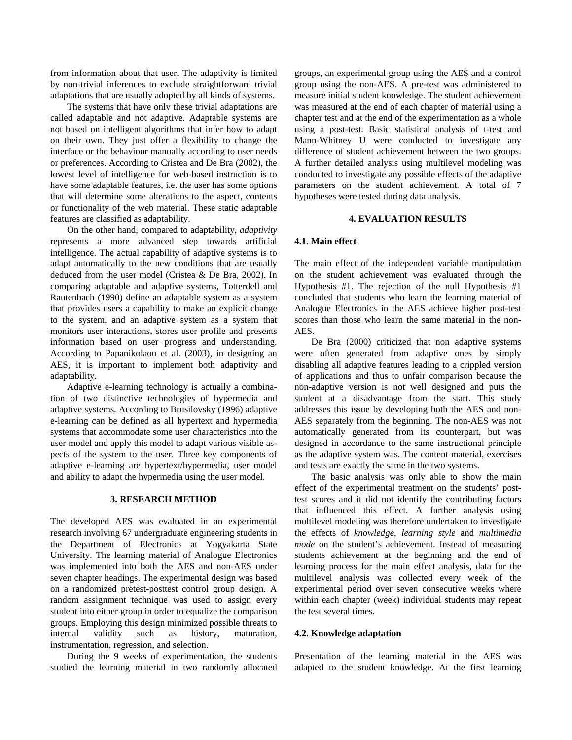from information about that user. The adaptivity is limited by non-trivial inferences to exclude straightforward trivial adaptations that are usually adopted by all kinds of systems.

 The systems that have only these trivial adaptations are called adaptable and not adaptive. Adaptable systems are not based on intelligent algorithms that infer how to adapt on their own. They just offer a flexibility to change the interface or the behaviour manually according to user needs or preferences. According to Cristea and De Bra (2002), the lowest level of intelligence for web-based instruction is to have some adaptable features, i.e. the user has some options that will determine some alterations to the aspect, contents or functionality of the web material. These static adaptable features are classified as adaptability.

 On the other hand, compared to adaptability, *adaptivity* represents a more advanced step towards artificial intelligence. The actual capability of adaptive systems is to adapt automatically to the new conditions that are usually deduced from the user model (Cristea & De Bra, 2002). In comparing adaptable and adaptive systems, Totterdell and Rautenbach (1990) define an adaptable system as a system that provides users a capability to make an explicit change to the system, and an adaptive system as a system that monitors user interactions, stores user profile and presents information based on user progress and understanding. According to Papanikolaou et al. (2003), in designing an AES, it is important to implement both adaptivity and adaptability.

 Adaptive e-learning technology is actually a combination of two distinctive technologies of hypermedia and adaptive systems. According to Brusilovsky (1996) adaptive e-learning can be defined as all hypertext and hypermedia systems that accommodate some user characteristics into the user model and apply this model to adapt various visible aspects of the system to the user. Three key components of adaptive e-learning are hypertext/hypermedia, user model and ability to adapt the hypermedia using the user model.

### **3. RESEARCH METHOD**

The developed AES was evaluated in an experimental research involving 67 undergraduate engineering students in the Department of Electronics at Yogyakarta State University. The learning material of Analogue Electronics was implemented into both the AES and non-AES under seven chapter headings. The experimental design was based on a randomized pretest-posttest control group design. A random assignment technique was used to assign every student into either group in order to equalize the comparison groups. Employing this design minimized possible threats to internal validity such as history, maturation, instrumentation, regression, and selection.

 During the 9 weeks of experimentation, the students studied the learning material in two randomly allocated groups, an experimental group using the AES and a control group using the non-AES. A pre-test was administered to measure initial student knowledge. The student achievement was measured at the end of each chapter of material using a chapter test and at the end of the experimentation as a whole using a post-test. Basic statistical analysis of t-test and Mann-Whitney U were conducted to investigate any difference of student achievement between the two groups. A further detailed analysis using multilevel modeling was conducted to investigate any possible effects of the adaptive parameters on the student achievement. A total of 7 hypotheses were tested during data analysis.

#### **4. EVALUATION RESULTS**

#### **4.1. Main effect**

The main effect of the independent variable manipulation on the student achievement was evaluated through the Hypothesis #1. The rejection of the null Hypothesis #1 concluded that students who learn the learning material of Analogue Electronics in the AES achieve higher post-test scores than those who learn the same material in the non-AES.

 De Bra (2000) criticized that non adaptive systems were often generated from adaptive ones by simply disabling all adaptive features leading to a crippled version of applications and thus to unfair comparison because the non-adaptive version is not well designed and puts the student at a disadvantage from the start. This study addresses this issue by developing both the AES and non-AES separately from the beginning. The non-AES was not automatically generated from its counterpart, but was designed in accordance to the same instructional principle as the adaptive system was. The content material, exercises and tests are exactly the same in the two systems.

 The basic analysis was only able to show the main effect of the experimental treatment on the students' posttest scores and it did not identify the contributing factors that influenced this effect. A further analysis using multilevel modeling was therefore undertaken to investigate the effects of *knowledge*, *learning style* and *multimedia mode* on the student's achievement. Instead of measuring students achievement at the beginning and the end of learning process for the main effect analysis, data for the multilevel analysis was collected every week of the experimental period over seven consecutive weeks where within each chapter (week) individual students may repeat the test several times.

#### **4.2. Knowledge adaptation**

Presentation of the learning material in the AES was adapted to the student knowledge. At the first learning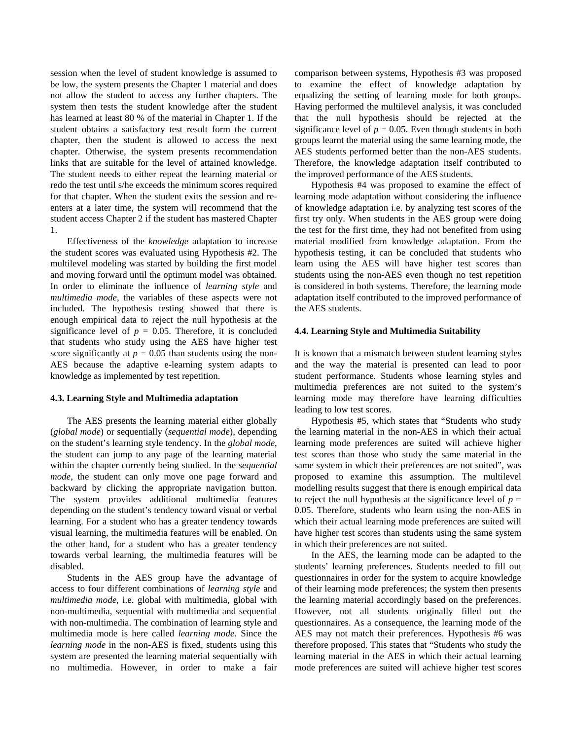session when the level of student knowledge is assumed to be low, the system presents the Chapter 1 material and does not allow the student to access any further chapters. The system then tests the student knowledge after the student has learned at least 80 % of the material in Chapter 1. If the student obtains a satisfactory test result form the current chapter, then the student is allowed to access the next chapter. Otherwise, the system presents recommendation links that are suitable for the level of attained knowledge. The student needs to either repeat the learning material or redo the test until s/he exceeds the minimum scores required for that chapter. When the student exits the session and reenters at a later time, the system will recommend that the student access Chapter 2 if the student has mastered Chapter 1.

 Effectiveness of the *knowledge* adaptation to increase the student scores was evaluated using Hypothesis #2. The multilevel modeling was started by building the first model and moving forward until the optimum model was obtained. In order to eliminate the influence of *learning style* and *multimedia mode*, the variables of these aspects were not included. The hypothesis testing showed that there is enough empirical data to reject the null hypothesis at the significance level of  $p = 0.05$ . Therefore, it is concluded that students who study using the AES have higher test score significantly at  $p = 0.05$  than students using the non-AES because the adaptive e-learning system adapts to knowledge as implemented by test repetition.

#### **4.3. Learning Style and Multimedia adaptation**

 The AES presents the learning material either globally (*global mode*) or sequentially (*sequential mode*), depending on the student's learning style tendency. In the *global mode*, the student can jump to any page of the learning material within the chapter currently being studied. In the *sequential mode*, the student can only move one page forward and backward by clicking the appropriate navigation button. The system provides additional multimedia features depending on the student's tendency toward visual or verbal learning. For a student who has a greater tendency towards visual learning, the multimedia features will be enabled. On the other hand, for a student who has a greater tendency towards verbal learning, the multimedia features will be disabled.

 Students in the AES group have the advantage of access to four different combinations of *learning style* and *multimedia mode*, i.e. global with multimedia, global with non-multimedia, sequential with multimedia and sequential with non-multimedia. The combination of learning style and multimedia mode is here called *learning mode*. Since the *learning mode* in the non-AES is fixed, students using this system are presented the learning material sequentially with no multimedia. However, in order to make a fair comparison between systems, Hypothesis #3 was proposed to examine the effect of knowledge adaptation by equalizing the setting of learning mode for both groups. Having performed the multilevel analysis, it was concluded that the null hypothesis should be rejected at the significance level of  $p = 0.05$ . Even though students in both groups learnt the material using the same learning mode, the AES students performed better than the non-AES students. Therefore, the knowledge adaptation itself contributed to the improved performance of the AES students.

 Hypothesis #4 was proposed to examine the effect of learning mode adaptation without considering the influence of knowledge adaptation i.e. by analyzing test scores of the first try only. When students in the AES group were doing the test for the first time, they had not benefited from using material modified from knowledge adaptation. From the hypothesis testing, it can be concluded that students who learn using the AES will have higher test scores than students using the non-AES even though no test repetition is considered in both systems. Therefore, the learning mode adaptation itself contributed to the improved performance of the AES students.

#### **4.4. Learning Style and Multimedia Suitability**

It is known that a mismatch between student learning styles and the way the material is presented can lead to poor student performance. Students whose learning styles and multimedia preferences are not suited to the system's learning mode may therefore have learning difficulties leading to low test scores.

 Hypothesis #5, which states that "Students who study the learning material in the non-AES in which their actual learning mode preferences are suited will achieve higher test scores than those who study the same material in the same system in which their preferences are not suited", was proposed to examine this assumption. The multilevel modelling results suggest that there is enough empirical data to reject the null hypothesis at the significance level of  $p =$ 0.05. Therefore, students who learn using the non-AES in which their actual learning mode preferences are suited will have higher test scores than students using the same system in which their preferences are not suited.

 In the AES, the learning mode can be adapted to the students' learning preferences. Students needed to fill out questionnaires in order for the system to acquire knowledge of their learning mode preferences; the system then presents the learning material accordingly based on the preferences. However, not all students originally filled out the questionnaires. As a consequence, the learning mode of the AES may not match their preferences. Hypothesis #6 was therefore proposed. This states that "Students who study the learning material in the AES in which their actual learning mode preferences are suited will achieve higher test scores